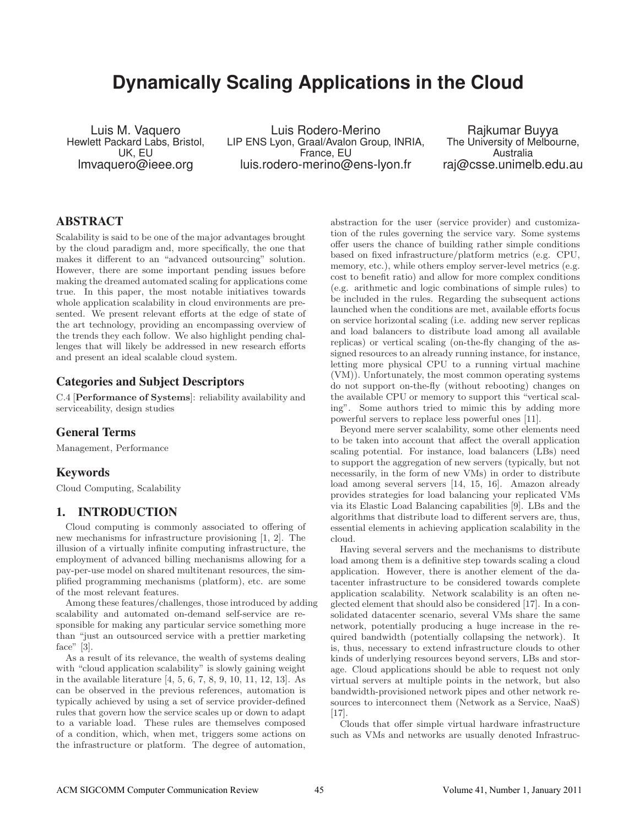# **Dynamically Scaling Applications in the Cloud**

Hewlett Packard Labs, Bristol, UK, EU

Luis M. Vaquero Luis Rodero-Merino Rajkumar Buyya LIP ENS Lyon, Graal/Avalon Group, INRIA, France, EU  $lmvaquero@ieee.org$  luis.rodero-merino@ens-lyon.fr

The University of Melbourne, Australia<br>raj@csse.unimelb.edu.au

# **ABSTRACT**

Scalability is said to be one of the major advantages brought by the cloud paradigm and, more specifically, the one that makes it different to an "advanced outsourcing" solution. However, there are some important pending issues before making the dreamed automated scaling for applications come true. In this paper, the most notable initiatives towards whole application scalability in cloud environments are presented. We present relevant efforts at the edge of state of the art technology, providing an encompassing overview of the trends they each follow. We also highlight pending challenges that will likely be addressed in new research efforts and present an ideal scalable cloud system.

# **Categories and Subject Descriptors**

C.4 [Performance of Systems]: reliability availability and serviceability, design studies

# **General Terms**

Management, Performance

# **Keywords**

Cloud Computing, Scalability

### **1. INTRODUCTION**

Cloud computing is commonly associated to offering of new mechanisms for infrastructure provisioning [1, 2]. The illusion of a virtually infinite computing infrastructure, the employment of advanced billing mechanisms allowing for a pay-per-use model on shared multitenant resources, the simplified programming mechanisms (platform), etc. are some of the most relevant features.

Among these features/challenges, those introduced by adding scalability and automated on-demand self-service are responsible for making any particular service something more than "just an outsourced service with a prettier marketing face" [3].

As a result of its relevance, the wealth of systems dealing with "cloud application scalability" is slowly gaining weight in the available literature [4, 5, 6, 7, 8, 9, 10, 11, 12, 13]. As can be observed in the previous references, automation is typically achieved by using a set of service provider-defined rules that govern how the service scales up or down to adapt to a variable load. These rules are themselves composed of a condition, which, when met, triggers some actions on the infrastructure or platform. The degree of automation, abstraction for the user (service provider) and customization of the rules governing the service vary. Some systems offer users the chance of building rather simple conditions based on fixed infrastructure/platform metrics (e.g. CPU, memory, etc.), while others employ server-level metrics (e.g. cost to benefit ratio) and allow for more complex conditions (e.g. arithmetic and logic combinations of simple rules) to be included in the rules. Regarding the subsequent actions launched when the conditions are met, available efforts focus on service horizontal scaling (i.e. adding new server replicas and load balancers to distribute load among all available replicas) or vertical scaling (on-the-fly changing of the assigned resources to an already running instance, for instance, letting more physical CPU to a running virtual machine (VM)). Unfortunately, the most common operating systems do not support on-the-fly (without rebooting) changes on the available CPU or memory to support this "vertical scaling". Some authors tried to mimic this by adding more powerful servers to replace less powerful ones [11].

Beyond mere server scalability, some other elements need to be taken into account that affect the overall application scaling potential. For instance, load balancers (LBs) need to support the aggregation of new servers (typically, but not necessarily, in the form of new VMs) in order to distribute load among several servers [14, 15, 16]. Amazon already provides strategies for load balancing your replicated VMs via its Elastic Load Balancing capabilities [9]. LBs and the algorithms that distribute load to different servers are, thus, essential elements in achieving application scalability in the cloud.

Having several servers and the mechanisms to distribute load among them is a definitive step towards scaling a cloud application. However, there is another element of the datacenter infrastructure to be considered towards complete application scalability. Network scalability is an often neglected element that should also be considered [17]. In a consolidated datacenter scenario, several VMs share the same network, potentially producing a huge increase in the required bandwidth (potentially collapsing the network). It is, thus, necessary to extend infrastructure clouds to other kinds of underlying resources beyond servers, LBs and storage. Cloud applications should be able to request not only virtual servers at multiple points in the network, but also bandwidth-provisioned network pipes and other network resources to interconnect them (Network as a Service, NaaS) [17].

Clouds that offer simple virtual hardware infrastructure such as VMs and networks are usually denoted Infrastruc-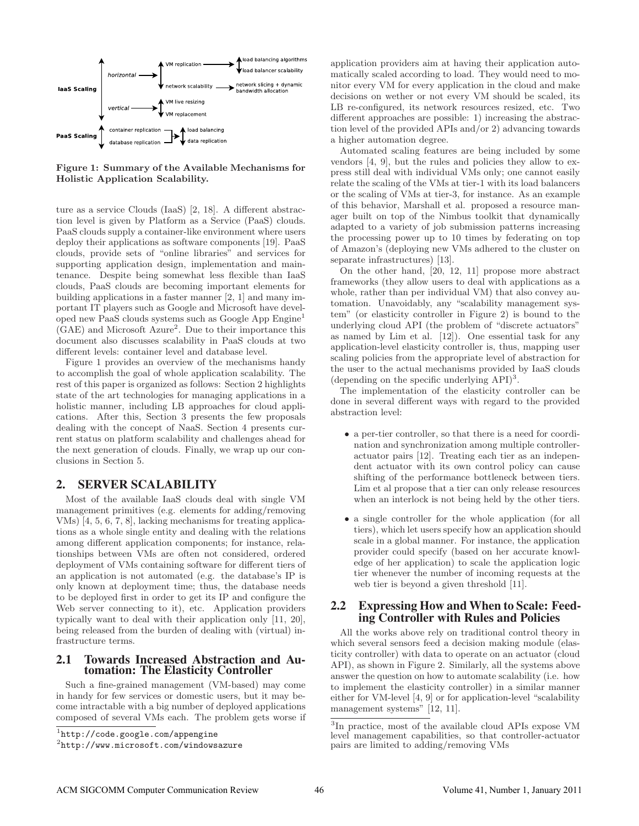

Figure 1: Summary of the Available Mechanisms for Holistic Application Scalability.

ture as a service Clouds (IaaS) [2, 18]. A different abstraction level is given by Platform as a Service (PaaS) clouds. PaaS clouds supply a container-like environment where users deploy their applications as software components [19]. PaaS clouds, provide sets of "online libraries" and services for supporting application design, implementation and maintenance. Despite being somewhat less flexible than IaaS clouds, PaaS clouds are becoming important elements for building applications in a faster manner [2, 1] and many important IT players such as Google and Microsoft have developed new PaaS clouds systems such as Google App Engine<sup>1</sup> (GAE) and Microsoft Azure<sup>2</sup> . Due to their importance this document also discusses scalability in PaaS clouds at two different levels: container level and database level.

Figure 1 provides an overview of the mechanisms handy to accomplish the goal of whole application scalability. The rest of this paper is organized as follows: Section 2 highlights state of the art technologies for managing applications in a holistic manner, including LB approaches for cloud applications. After this, Section 3 presents the few proposals dealing with the concept of NaaS. Section 4 presents current status on platform scalability and challenges ahead for the next generation of clouds. Finally, we wrap up our conclusions in Section 5.

#### **2. SERVER SCALABILITY**

Most of the available IaaS clouds deal with single VM management primitives (e.g. elements for adding/removing VMs) [4, 5, 6, 7, 8], lacking mechanisms for treating applications as a whole single entity and dealing with the relations among different application components; for instance, relationships between VMs are often not considered, ordered deployment of VMs containing software for different tiers of an application is not automated (e.g. the database's IP is only known at deployment time; thus, the database needs to be deployed first in order to get its IP and configure the Web server connecting to it), etc. Application providers typically want to deal with their application only [11, 20], being released from the burden of dealing with (virtual) infrastructure terms.

#### **2.1 Towards Increased Abstraction and Automation: The Elasticity Controller**

Such a fine-grained management (VM-based) may come in handy for few services or domestic users, but it may become intractable with a big number of deployed applications composed of several VMs each. The problem gets worse if application providers aim at having their application automatically scaled according to load. They would need to monitor every VM for every application in the cloud and make decisions on wether or not every VM should be scaled, its LB re-configured, its network resources resized, etc. Two different approaches are possible: 1) increasing the abstraction level of the provided APIs and/or 2) advancing towards a higher automation degree.

Automated scaling features are being included by some vendors  $[4, 9]$ , but the rules and policies they allow to express still deal with individual VMs only; one cannot easily relate the scaling of the VMs at tier-1 with its load balancers or the scaling of VMs at tier-3, for instance. As an example of this behavior, Marshall et al. proposed a resource manager built on top of the Nimbus toolkit that dynamically adapted to a variety of job submission patterns increasing the processing power up to 10 times by federating on top of Amazon's (deploying new VMs adhered to the cluster on separate infrastructures) [13].

On the other hand, [20, 12, 11] propose more abstract frameworks (they allow users to deal with applications as a whole, rather than per individual VM) that also convey automation. Unavoidably, any "scalability management system" (or elasticity controller in Figure 2) is bound to the underlying cloud API (the problem of "discrete actuators" as named by Lim et al. [12]). One essential task for any application-level elasticity controller is, thus, mapping user scaling policies from the appropriate level of abstraction for the user to the actual mechanisms provided by IaaS clouds (depending on the specific underlying API)<sup>3</sup> .

The implementation of the elasticity controller can be done in several different ways with regard to the provided abstraction level:

- a per-tier controller, so that there is a need for coordination and synchronization among multiple controlleractuator pairs [12]. Treating each tier as an independent actuator with its own control policy can cause shifting of the performance bottleneck between tiers. Lim et al propose that a tier can only release resources when an interlock is not being held by the other tiers.
- a single controller for the whole application (for all tiers), which let users specify how an application should scale in a global manner. For instance, the application provider could specify (based on her accurate knowledge of her application) to scale the application logic tier whenever the number of incoming requests at the web tier is beyond a given threshold [11].

## **2.2 Expressing How and When to Scale: Feeding Controller with Rules and Policies**

All the works above rely on traditional control theory in which several sensors feed a decision making module (elasticity controller) with data to operate on an actuator (cloud API), as shown in Figure 2. Similarly, all the systems above answer the question on how to automate scalability (i.e. how to implement the elasticity controller) in a similar manner either for VM-level [4, 9] or for application-level "scalability management systems" [12, 11].

<sup>1</sup> http://code.google.com/appengine

<sup>2</sup> http://www.microsoft.com/windowsazure

<sup>3</sup> In practice, most of the available cloud APIs expose VM level management capabilities, so that controller-actuator pairs are limited to adding/removing VMs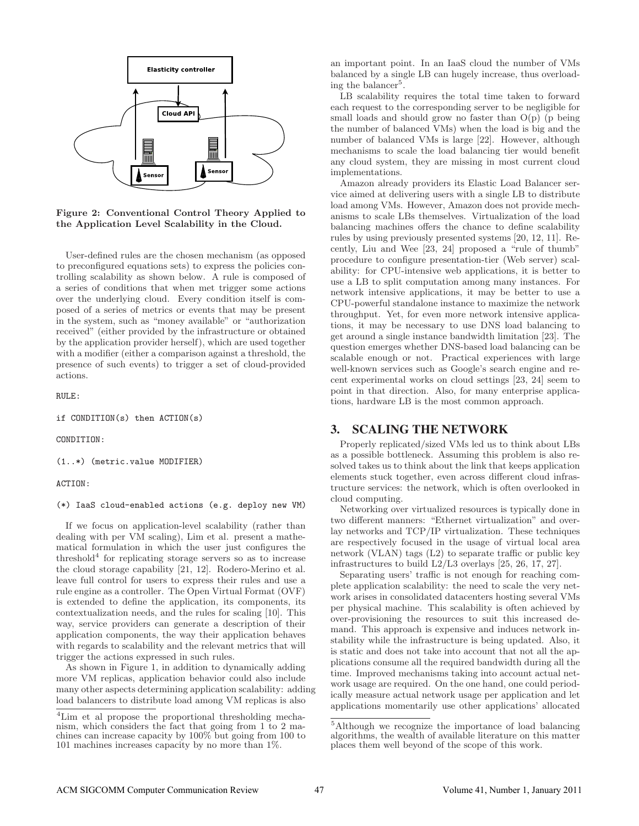

Figure 2: Conventional Control Theory Applied to the Application Level Scalability in the Cloud.

User-defined rules are the chosen mechanism (as opposed to preconfigured equations sets) to express the policies controlling scalability as shown below. A rule is composed of a series of conditions that when met trigger some actions over the underlying cloud. Every condition itself is composed of a series of metrics or events that may be present in the system, such as "money available" or "authorization received" (either provided by the infrastructure or obtained by the application provider herself), which are used together with a modifier (either a comparison against a threshold, the presence of such events) to trigger a set of cloud-provided actions.

RULE:

if CONDITION(s) then ACTION(s)

CONDITION:

(1..\*) (metric.value MODIFIER)

ACTION:

(\*) IaaS cloud-enabled actions (e.g. deploy new VM)

If we focus on application-level scalability (rather than dealing with per VM scaling), Lim et al. present a mathematical formulation in which the user just configures the threshold<sup>4</sup> for replicating storage servers so as to increase the cloud storage capability [21, 12]. Rodero-Merino et al. leave full control for users to express their rules and use a rule engine as a controller. The Open Virtual Format (OVF) is extended to define the application, its components, its contextualization needs, and the rules for scaling [10]. This way, service providers can generate a description of their application components, the way their application behaves with regards to scalability and the relevant metrics that will trigger the actions expressed in such rules.

As shown in Figure 1, in addition to dynamically adding more VM replicas, application behavior could also include many other aspects determining application scalability: adding load balancers to distribute load among VM replicas is also

an important point. In an IaaS cloud the number of VMs balanced by a single LB can hugely increase, thus overloading the balancer<sup>5</sup>.

LB scalability requires the total time taken to forward each request to the corresponding server to be negligible for small loads and should grow no faster than  $O(p)$  (p being the number of balanced VMs) when the load is big and the number of balanced VMs is large [22]. However, although mechanisms to scale the load balancing tier would benefit any cloud system, they are missing in most current cloud implementations.

Amazon already providers its Elastic Load Balancer service aimed at delivering users with a single LB to distribute load among VMs. However, Amazon does not provide mechanisms to scale LBs themselves. Virtualization of the load balancing machines offers the chance to define scalability rules by using previously presented systems [20, 12, 11]. Recently, Liu and Wee [23, 24] proposed a "rule of thumb" procedure to configure presentation-tier (Web server) scalability: for CPU-intensive web applications, it is better to use a LB to split computation among many instances. For network intensive applications, it may be better to use a CPU-powerful standalone instance to maximize the network throughput. Yet, for even more network intensive applications, it may be necessary to use DNS load balancing to get around a single instance bandwidth limitation [23]. The question emerges whether DNS-based load balancing can be scalable enough or not. Practical experiences with large well-known services such as Google's search engine and recent experimental works on cloud settings [23, 24] seem to point in that direction. Also, for many enterprise applications, hardware LB is the most common approach.

# **3. SCALING THE NETWORK**

Properly replicated/sized VMs led us to think about LBs as a possible bottleneck. Assuming this problem is also resolved takes us to think about the link that keeps application elements stuck together, even across different cloud infrastructure services: the network, which is often overlooked in cloud computing.

Networking over virtualized resources is typically done in two different manners: "Ethernet virtualization" and overlay networks and TCP/IP virtualization. These techniques are respectively focused in the usage of virtual local area network (VLAN) tags (L2) to separate traffic or public key infrastructures to build L2/L3 overlays [25, 26, 17, 27].

Separating users' traffic is not enough for reaching complete application scalability: the need to scale the very network arises in consolidated datacenters hosting several VMs per physical machine. This scalability is often achieved by over-provisioning the resources to suit this increased demand. This approach is expensive and induces network instability while the infrastructure is being updated. Also, it is static and does not take into account that not all the applications consume all the required bandwidth during all the time. Improved mechanisms taking into account actual network usage are required. On the one hand, one could periodically measure actual network usage per application and let applications momentarily use other applications' allocated

<sup>4</sup>Lim et al propose the proportional thresholding mechanism, which considers the fact that going from 1 to 2 machines can increase capacity by 100% but going from 100 to 101 machines increases capacity by no more than 1%.

<sup>5</sup>Although we recognize the importance of load balancing algorithms, the wealth of available literature on this matter places them well beyond of the scope of this work.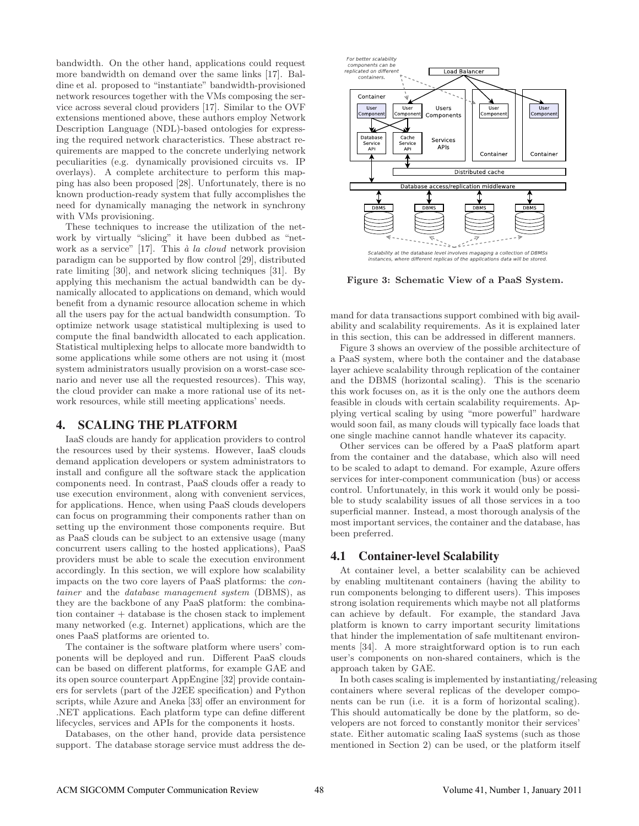bandwidth. On the other hand, applications could request more bandwidth on demand over the same links [17]. Baldine et al. proposed to "instantiate" bandwidth-provisioned network resources together with the VMs composing the service across several cloud providers [17]. Similar to the OVF extensions mentioned above, these authors employ Network Description Language (NDL)-based ontologies for expressing the required network characteristics. These abstract requirements are mapped to the concrete underlying network peculiarities (e.g. dynamically provisioned circuits vs. IP overlays). A complete architecture to perform this mapping has also been proposed [28]. Unfortunately, there is no known production-ready system that fully accomplishes the need for dynamically managing the network in synchrony with VMs provisioning.

These techniques to increase the utilization of the network by virtually "slicing" it have been dubbed as "network as a service" [17]. This *à la cloud* network provision paradigm can be supported by flow control [29], distributed rate limiting [30], and network slicing techniques [31]. By applying this mechanism the actual bandwidth can be dynamically allocated to applications on demand, which would benefit from a dynamic resource allocation scheme in which all the users pay for the actual bandwidth consumption. To optimize network usage statistical multiplexing is used to compute the final bandwidth allocated to each application. Statistical multiplexing helps to allocate more bandwidth to some applications while some others are not using it (most system administrators usually provision on a worst-case scenario and never use all the requested resources). This way, the cloud provider can make a more rational use of its network resources, while still meeting applications' needs.

### **4. SCALING THE PLATFORM**

IaaS clouds are handy for application providers to control the resources used by their systems. However, IaaS clouds demand application developers or system administrators to install and configure all the software stack the application components need. In contrast, PaaS clouds offer a ready to use execution environment, along with convenient services, for applications. Hence, when using PaaS clouds developers can focus on programming their components rather than on setting up the environment those components require. But as PaaS clouds can be subject to an extensive usage (many concurrent users calling to the hosted applications), PaaS providers must be able to scale the execution environment accordingly. In this section, we will explore how scalability impacts on the two core layers of PaaS platforms: the *container* and the *database management system* (DBMS), as they are the backbone of any PaaS platform: the combination container + database is the chosen stack to implement many networked (e.g. Internet) applications, which are the ones PaaS platforms are oriented to.

The container is the software platform where users' components will be deployed and run. Different PaaS clouds can be based on different platforms, for example GAE and its open source counterpart AppEngine [32] provide containers for servlets (part of the J2EE specification) and Python scripts, while Azure and Aneka [33] offer an environment for .NET applications. Each platform type can define different lifecycles, services and APIs for the components it hosts.

Databases, on the other hand, provide data persistence support. The database storage service must address the de-



Figure 3: Schematic View of a PaaS System.

mand for data transactions support combined with big availability and scalability requirements. As it is explained later in this section, this can be addressed in different manners.

Figure 3 shows an overview of the possible architecture of a PaaS system, where both the container and the database layer achieve scalability through replication of the container and the DBMS (horizontal scaling). This is the scenario this work focuses on, as it is the only one the authors deem feasible in clouds with certain scalability requirements. Applying vertical scaling by using "more powerful" hardware would soon fail, as many clouds will typically face loads that one single machine cannot handle whatever its capacity.

Other services can be offered by a PaaS platform apart from the container and the database, which also will need to be scaled to adapt to demand. For example, Azure offers services for inter-component communication (bus) or access control. Unfortunately, in this work it would only be possible to study scalability issues of all those services in a too superficial manner. Instead, a most thorough analysis of the most important services, the container and the database, has been preferred.

# **4.1 Container-level Scalability**

At container level, a better scalability can be achieved by enabling multitenant containers (having the ability to run components belonging to different users). This imposes strong isolation requirements which maybe not all platforms can achieve by default. For example, the standard Java platform is known to carry important security limitations that hinder the implementation of safe multitenant environments [34]. A more straightforward option is to run each user's components on non-shared containers, which is the approach taken by GAE.

In both cases scaling is implemented by instantiating/releasing containers where several replicas of the developer components can be run (i.e. it is a form of horizontal scaling). This should automatically be done by the platform, so developers are not forced to constantly monitor their services' state. Either automatic scaling IaaS systems (such as those mentioned in Section 2) can be used, or the platform itself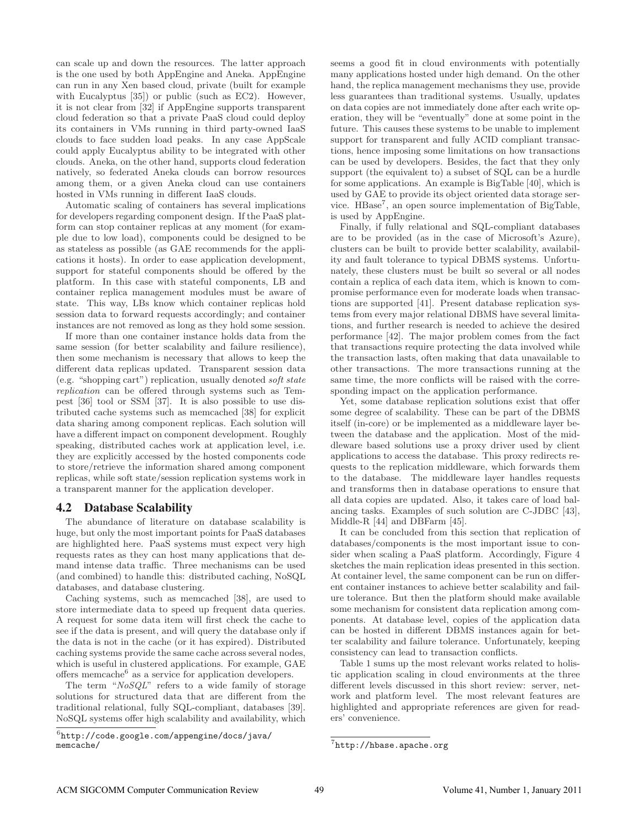can scale up and down the resources. The latter approach is the one used by both AppEngine and Aneka. AppEngine can run in any Xen based cloud, private (built for example with Eucalyptus [35]) or public (such as EC2). However, it is not clear from [32] if AppEngine supports transparent cloud federation so that a private PaaS cloud could deploy its containers in VMs running in third party-owned IaaS clouds to face sudden load peaks. In any case AppScale could apply Eucalyptus ability to be integrated with other clouds. Aneka, on the other hand, supports cloud federation natively, so federated Aneka clouds can borrow resources among them, or a given Aneka cloud can use containers hosted in VMs running in different IaaS clouds.

Automatic scaling of containers has several implications for developers regarding component design. If the PaaS platform can stop container replicas at any moment (for example due to low load), components could be designed to be as stateless as possible (as GAE recommends for the applications it hosts). In order to ease application development, support for stateful components should be offered by the platform. In this case with stateful components, LB and container replica management modules must be aware of state. This way, LBs know which container replicas hold session data to forward requests accordingly; and container instances are not removed as long as they hold some session.

If more than one container instance holds data from the same session (for better scalability and failure resilience), then some mechanism is necessary that allows to keep the different data replicas updated. Transparent session data (e.g. "shopping cart") replication, usually denoted *soft state replication* can be offered through systems such as Tempest [36] tool or SSM [37]. It is also possible to use distributed cache systems such as memcached [38] for explicit data sharing among component replicas. Each solution will have a different impact on component development. Roughly speaking, distributed caches work at application level, i.e. they are explicitly accessed by the hosted components code to store/retrieve the information shared among component replicas, while soft state/session replication systems work in a transparent manner for the application developer.

#### **4.2 Database Scalability**

The abundance of literature on database scalability is huge, but only the most important points for PaaS databases are highlighted here. PaaS systems must expect very high requests rates as they can host many applications that demand intense data traffic. Three mechanisms can be used (and combined) to handle this: distributed caching, NoSQL databases, and database clustering.

Caching systems, such as memcached [38], are used to store intermediate data to speed up frequent data queries. A request for some data item will first check the cache to see if the data is present, and will query the database only if the data is not in the cache (or it has expired). Distributed caching systems provide the same cache across several nodes, which is useful in clustered applications. For example, GAE offers memcache<sup>6</sup> as a service for application developers.

The term "*NoSQL*" refers to a wide family of storage solutions for structured data that are different from the traditional relational, fully SQL-compliant, databases [39]. NoSQL systems offer high scalability and availability, which

seems a good fit in cloud environments with potentially many applications hosted under high demand. On the other hand, the replica management mechanisms they use, provide less guarantees than traditional systems. Usually, updates on data copies are not immediately done after each write operation, they will be "eventually" done at some point in the future. This causes these systems to be unable to implement support for transparent and fully ACID compliant transactions, hence imposing some limitations on how transactions can be used by developers. Besides, the fact that they only support (the equivalent to) a subset of SQL can be a hurdle for some applications. An example is BigTable [40], which is used by GAE to provide its object oriented data storage service. HBase<sup>7</sup> , an open source implementation of BigTable, is used by AppEngine.

Finally, if fully relational and SQL-compliant databases are to be provided (as in the case of Microsoft's Azure), clusters can be built to provide better scalability, availability and fault tolerance to typical DBMS systems. Unfortunately, these clusters must be built so several or all nodes contain a replica of each data item, which is known to compromise performance even for moderate loads when transactions are supported [41]. Present database replication systems from every major relational DBMS have several limitations, and further research is needed to achieve the desired performance [42]. The major problem comes from the fact that transactions require protecting the data involved while the transaction lasts, often making that data unavailable to other transactions. The more transactions running at the same time, the more conflicts will be raised with the corresponding impact on the application performance.

Yet, some database replication solutions exist that offer some degree of scalability. These can be part of the DBMS itself (in-core) or be implemented as a middleware layer between the database and the application. Most of the middleware based solutions use a proxy driver used by client applications to access the database. This proxy redirects requests to the replication middleware, which forwards them to the database. The middleware layer handles requests and transforms then in database operations to ensure that all data copies are updated. Also, it takes care of load balancing tasks. Examples of such solution are C-JDBC [43], Middle-R [44] and DBFarm [45].

It can be concluded from this section that replication of databases/components is the most important issue to consider when scaling a PaaS platform. Accordingly, Figure 4 sketches the main replication ideas presented in this section. At container level, the same component can be run on different container instances to achieve better scalability and failure tolerance. But then the platform should make available some mechanism for consistent data replication among components. At database level, copies of the application data can be hosted in different DBMS instances again for better scalability and failure tolerance. Unfortunately, keeping consistency can lead to transaction conflicts.

Table 1 sums up the most relevant works related to holistic application scaling in cloud environments at the three different levels discussed in this short review: server, network and platform level. The most relevant features are highlighted and appropriate references are given for readers' convenience.

 $^6$ http:// $\verb|code.google.com/appengine/docs/java/$ memcache/

 $^{7}$ http://hbase.apache.org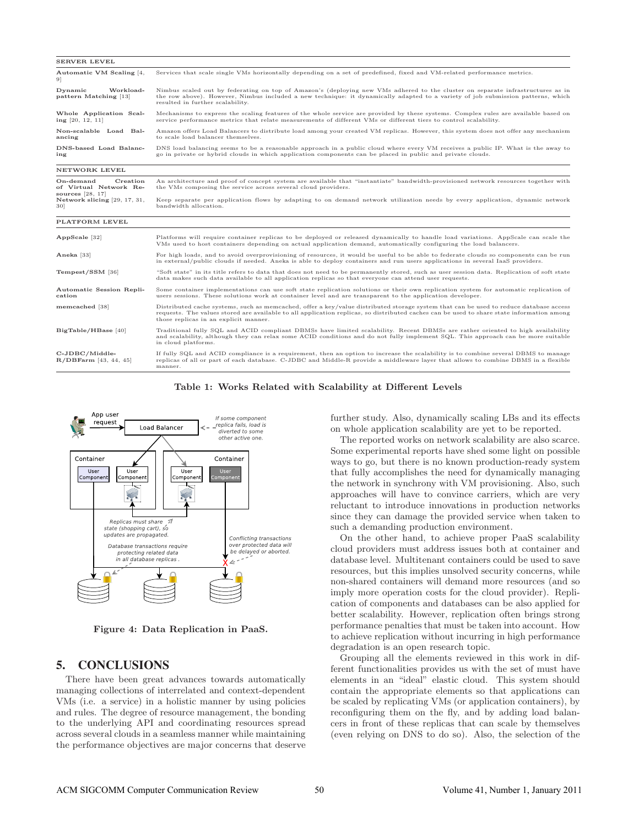| <b>SERVER LEVEL</b>                                       |                                                                                                                                                                                                                                                                                                                             |
|-----------------------------------------------------------|-----------------------------------------------------------------------------------------------------------------------------------------------------------------------------------------------------------------------------------------------------------------------------------------------------------------------------|
| Automatic VM Scaling [4,<br>9]                            | Services that scale single VMs horizontally depending on a set of predefined, fixed and VM-related performance metrics.                                                                                                                                                                                                     |
| Dynamic<br>Workload-<br>pattern Matching [13]             | Nimbus scaled out by federating on top of Amazon's (deploying new VMs adhered to the cluster on separate infrastructures as in<br>the row above). However, Nimbus included a new technique: it dynamically adapted to a variety of job submission patterns, which<br>resulted in further scalability.                       |
| Whole Application Scal-<br>ing [20, 12, 11]               | Mechanisms to express the scaling features of the whole service are provided by these systems. Complex rules are available based on<br>service performance metrics that relate measurements of different VMs or different tiers to control scalability.                                                                     |
| Non-scalable Load Bal-<br>ancing                          | Amazon offers Load Balancers to distribute load among your created VM replicas. However, this system does not offer any mechanism<br>to scale load balancer themselves.                                                                                                                                                     |
| DNS-based Load Balanc-<br>ing                             | DNS load balancing seems to be a reasonable approach in a public cloud where every VM receives a public IP. What is the away to<br>go in private or hybrid clouds in which application components can be placed in public and private clouds.                                                                               |
| NETWORK LEVEL                                             |                                                                                                                                                                                                                                                                                                                             |
| $On$ -demand<br>Creation<br>of Virtual Network Re-        | An architecture and proof of concept system are available that "instantiate" bandwidth-provisioned network resources together with<br>the VMs composing the service across several cloud providers.                                                                                                                         |
| sources $[28, 17]$<br>Network slicing [29, 17, 31,<br>30] | Keep separate per application flows by adapting to on demand network utilization needs by every application, dynamic network<br>bandwidth allocation.                                                                                                                                                                       |
| PLATFORM LEVEL                                            |                                                                                                                                                                                                                                                                                                                             |
| AppScale [32]                                             | Platforms will require container replicas to be deployed or released dynamically to handle load variations. AppScale can scale the<br>VMs used to host containers depending on actual application demand, automatically configuring the load balancers.                                                                     |
| Aneka <sup>[33]</sup>                                     | For high loads, and to avoid overprovisioning of resources, it would be useful to be able to federate clouds so components can be run<br>in external/public clouds if needed. Aneka is able to deploy containers and run users applications in several IaaS providers.                                                      |
| Tempest/SSM [36]                                          | "Soft state" in its title refers to data that does not need to be permanently stored, such as user session data. Replication of soft state<br>data makes such data available to all application replicas so that everyone can attend user requests.                                                                         |
| Automatic Session Repli-<br>cation                        | Some container implementations can use soft state replication solutions or their own replication system for automatic replication of<br>users sessions. These solutions work at container level and are transparent to the application developer.                                                                           |
| memcached [38]                                            | Distributed cache systems, such as memcached, offer a key/value distributed storage system that can be used to reduce database access<br>requests. The values stored are available to all application replicas, so distributed caches can be used to share state information among<br>those replicas in an explicit manner. |
| BigTable/HBase [40]                                       | Traditional fully SQL and ACID compliant DBMSs have limited scalability. Recent DBMSs are rather oriented to high availability<br>and scalability, although they can relax some ACID conditions and do not fully implement SQL. This approach can be more suitable<br>in cloud platforms.                                   |
| C-JDBC/Middle-<br>$R/DBFarm$ [43, 44, 45]                 | If fully SQL and ACID compliance is a requirement, then an option to increase the scalability is to combine several DBMS to manage<br>replicas of all or part of each database. C-JDBC and Middle-R provide a middleware layer that allows to combine DBMS in a flexible<br>manner.                                         |

Table 1: Works Related with Scalability at Different Levels



Figure 4: Data Replication in PaaS.

# **5. CONCLUSIONS**

There have been great advances towards automatically managing collections of interrelated and context-dependent VMs (i.e. a service) in a holistic manner by using policies and rules. The degree of resource management, the bonding to the underlying API and coordinating resources spread across several clouds in a seamless manner while maintaining the performance objectives are major concerns that deserve further study. Also, dynamically scaling LBs and its effects on whole application scalability are yet to be reported.

The reported works on network scalability are also scarce. Some experimental reports have shed some light on possible ways to go, but there is no known production-ready system that fully accomplishes the need for dynamically managing the network in synchrony with VM provisioning. Also, such approaches will have to convince carriers, which are very reluctant to introduce innovations in production networks since they can damage the provided service when taken to such a demanding production environment.

On the other hand, to achieve proper PaaS scalability cloud providers must address issues both at container and database level. Multitenant containers could be used to save resources, but this implies unsolved security concerns, while non-shared containers will demand more resources (and so imply more operation costs for the cloud provider). Replication of components and databases can be also applied for better scalability. However, replication often brings strong performance penalties that must be taken into account. How to achieve replication without incurring in high performance degradation is an open research topic.

Grouping all the elements reviewed in this work in different functionalities provides us with the set of must have elements in an "ideal" elastic cloud. This system should contain the appropriate elements so that applications can be scaled by replicating VMs (or application containers), by reconfiguring them on the fly, and by adding load balancers in front of these replicas that can scale by themselves (even relying on DNS to do so). Also, the selection of the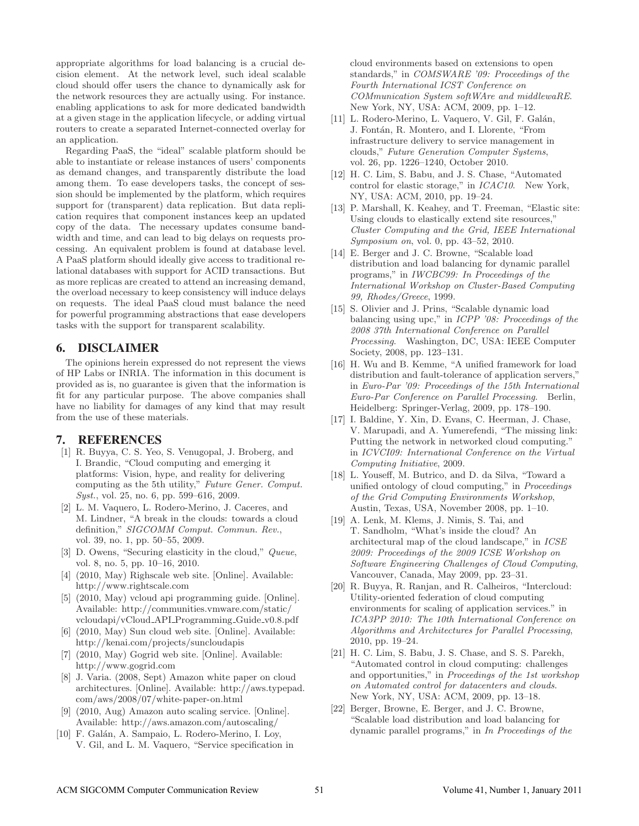appropriate algorithms for load balancing is a crucial decision element. At the network level, such ideal scalable cloud should offer users the chance to dynamically ask for the network resources they are actually using. For instance. enabling applications to ask for more dedicated bandwidth at a given stage in the application lifecycle, or adding virtual routers to create a separated Internet-connected overlay for an application.

Regarding PaaS, the "ideal" scalable platform should be able to instantiate or release instances of users' components as demand changes, and transparently distribute the load among them. To ease developers tasks, the concept of session should be implemented by the platform, which requires support for (transparent) data replication. But data replication requires that component instances keep an updated copy of the data. The necessary updates consume bandwidth and time, and can lead to big delays on requests processing. An equivalent problem is found at database level. A PaaS platform should ideally give access to traditional relational databases with support for ACID transactions. But as more replicas are created to attend an increasing demand, the overload necessary to keep consistency will induce delays on requests. The ideal PaaS cloud must balance the need for powerful programming abstractions that ease developers tasks with the support for transparent scalability.

#### **6. DISCLAIMER**

The opinions herein expressed do not represent the views of HP Labs or INRIA. The information in this document is provided as is, no guarantee is given that the information is fit for any particular purpose. The above companies shall have no liability for damages of any kind that may result from the use of these materials.

#### **7. REFERENCES**

- [1] R. Buyya, C. S. Yeo, S. Venugopal, J. Broberg, and I. Brandic, "Cloud computing and emerging it platforms: Vision, hype, and reality for delivering computing as the 5th utility," *Future Gener. Comput. Syst.*, vol. 25, no. 6, pp. 599–616, 2009.
- [2] L. M. Vaquero, L. Rodero-Merino, J. Caceres, and M. Lindner, "A break in the clouds: towards a cloud definition," *SIGCOMM Comput. Commun. Rev.*, vol. 39, no. 1, pp. 50–55, 2009.
- [3] D. Owens, "Securing elasticity in the cloud," *Queue*, vol. 8, no. 5, pp. 10–16, 2010.
- [4] (2010, May) Righscale web site. [Online]. Available: http://www.rightscale.com
- [5] (2010, May) vcloud api programming guide. [Online]. Available: http://communities.vmware.com/static/ vcloudapi/vCloud\_API\_Programming\_Guide\_v0.8.pdf
- [6] (2010, May) Sun cloud web site. [Online]. Available: http://kenai.com/projects/suncloudapis
- [7] (2010, May) Gogrid web site. [Online]. Available: http://www.gogrid.com
- [8] J. Varia. (2008, Sept) Amazon white paper on cloud architectures. [Online]. Available: http://aws.typepad. com/aws/2008/07/white-paper-on.html
- [9] (2010, Aug) Amazon auto scaling service. [Online]. Available: http://aws.amazon.com/autoscaling/
- [10] F. Galán, A. Sampaio, L. Rodero-Merino, I. Loy, V. Gil, and L. M. Vaquero, "Service specification in

cloud environments based on extensions to open standards," in *COMSWARE '09: Proceedings of the Fourth International ICST Conference on COMmunication System softWAre and middlewaRE*. New York, NY, USA: ACM, 2009, pp. 1–12.

- [11] L. Rodero-Merino, L. Vaquero, V. Gil, F. Galán, J. Fontán, R. Montero, and I. Llorente, "From infrastructure delivery to service management in clouds," *Future Generation Computer Systems*, vol. 26, pp. 1226–1240, October 2010.
- [12] H. C. Lim, S. Babu, and J. S. Chase, "Automated control for elastic storage," in *ICAC10*. New York, NY, USA: ACM, 2010, pp. 19–24.
- [13] P. Marshall, K. Keahey, and T. Freeman, "Elastic site: Using clouds to elastically extend site resources," *Cluster Computing and the Grid, IEEE International Symposium on*, vol. 0, pp. 43–52, 2010.
- [14] E. Berger and J. C. Browne, "Scalable load distribution and load balancing for dynamic parallel programs," in *IWCBC99: In Proceedings of the International Workshop on Cluster-Based Computing 99, Rhodes/Greece*, 1999.
- [15] S. Olivier and J. Prins, "Scalable dynamic load balancing using upc," in *ICPP '08: Proceedings of the 2008 37th International Conference on Parallel Processing*. Washington, DC, USA: IEEE Computer Society, 2008, pp. 123–131.
- [16] H. Wu and B. Kemme, "A unified framework for load distribution and fault-tolerance of application servers," in *Euro-Par '09: Proceedings of the 15th International Euro-Par Conference on Parallel Processing*. Berlin, Heidelberg: Springer-Verlag, 2009, pp. 178–190.
- [17] I. Baldine, Y. Xin, D. Evans, C. Heerman, J. Chase, V. Marupadi, and A. Yumerefendi, "The missing link: Putting the network in networked cloud computing." in *ICVCI09: International Conference on the Virtual Computing Initiative*, 2009.
- [18] L. Youseff, M. Butrico, and D. da Silva, "Toward a unified ontology of cloud computing," in *Proceedings of the Grid Computing Environments Workshop*, Austin, Texas, USA, November 2008, pp. 1–10.
- [19] A. Lenk, M. Klems, J. Nimis, S. Tai, and T. Sandholm, "What's inside the cloud? An architectural map of the cloud landscape," in *ICSE 2009: Proceedings of the 2009 ICSE Workshop on Software Engineering Challenges of Cloud Computing*, Vancouver, Canada, May 2009, pp. 23–31.
- [20] R. Buyya, R. Ranjan, and R. Calheiros, "Intercloud: Utility-oriented federation of cloud computing environments for scaling of application services." in *ICA3PP 2010: The 10th International Conference on Algorithms and Architectures for Parallel Processing*, 2010, pp. 19–24.
- [21] H. C. Lim, S. Babu, J. S. Chase, and S. S. Parekh, "Automated control in cloud computing: challenges and opportunities," in *Proceedings of the 1st workshop on Automated control for datacenters and clouds*. New York, NY, USA: ACM, 2009, pp. 13–18.
- [22] Berger, Browne, E. Berger, and J. C. Browne, "Scalable load distribution and load balancing for dynamic parallel programs," in *In Proceedings of the*